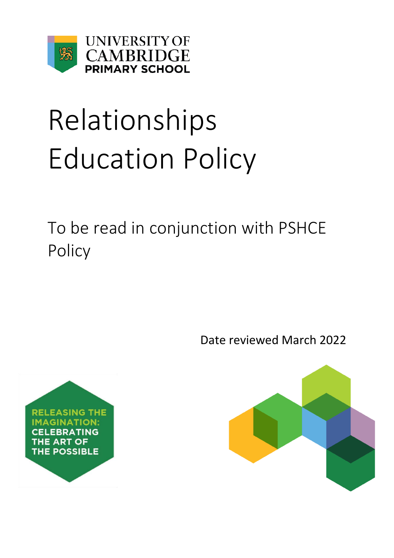

# Relationships Education Policy

To be read in conjunction with PSHCE Policy

Date reviewed March 2022



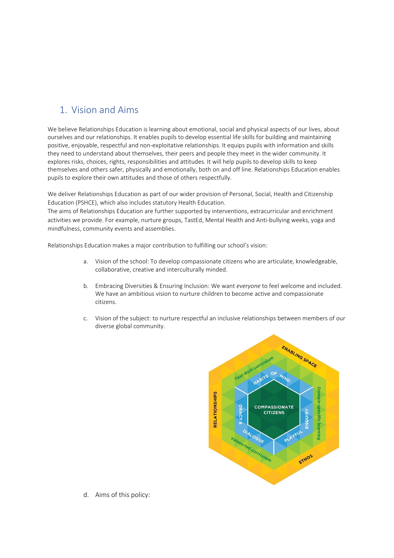## 1. Vision and Aims

We believe Relationships Education is learning about emotional, social and physical aspects of our lives, about ourselves and our relationships. It enables pupils to develop essential life skills for building and maintaining positive, enjoyable, respectful and non-exploitative relationships. It equips pupils with information and skills they need to understand about themselves, their peers and people they meet in the wider community. It explores risks, choices, rights, responsibilities and attitudes. It will help pupils to develop skills to keep themselves and others safer, physically and emotionally, both on and off line. Relationships Education enables pupils to explore their own attitudes and those of others respectfully.

We deliver Relationships Education as part of our wider provision of Personal, Social, Health and Citizenship Education (PSHCE), which also includes statutory Health Education.

The aims of Relationships Education are further supported by interventions, extracurricular and enrichment activities we provide. For example, nurture groups, TastEd, Mental Health and Anti-bullying weeks, yoga and mindfulness, community events and assemblies.

Relationships Education makes a major contribution to fulfilling our school's vision:

- a. Vision of the school: To develop compassionate citizens who are articulate, knowledgeable, collaborative, creative and interculturally minded.
- b. Embracing Diversities & Ensuring Inclusion: We want *everyone* to feel welcome and included. We have an ambitious vision to nurture children to become active and compassionate citizens.
- c. Vision of the subject: to nurture respectful an inclusive relationships between members of our diverse global community.



d. Aims of this policy: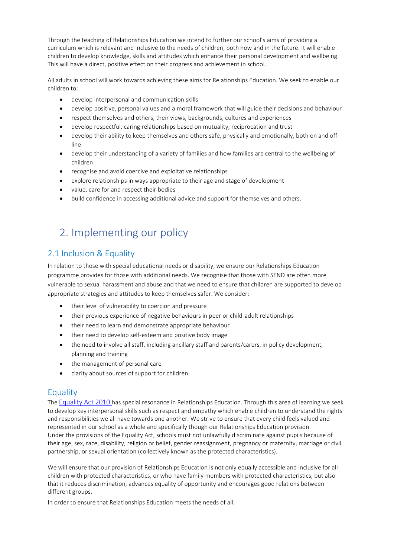Through the teaching of Relationships Education we intend to further our school's aims of providing a curriculum which is relevant and inclusive to the needs of children, both now and in the future. It will enable children to develop knowledge, skills and attitudes which enhance their personal development and wellbeing. This will have a direct, positive effect on their progress and achievement in school.

All adults in school will work towards achieving these aims for Relationships Education. We seek to enable our children to:

- develop interpersonal and communication skills
- develop positive, personal values and a moral framework that will guide their decisions and behaviour
- respect themselves and others, their views, backgrounds, cultures and experiences
- develop respectful, caring relationships based on mutuality, reciprocation and trust
- develop their ability to keep themselves and others safe, physically and emotionally, both on and off line
- develop their understanding of a variety of families and how families are central to the wellbeing of children
- recognise and avoid coercive and exploitative relationships
- explore relationships in ways appropriate to their age and stage of development
- value, care for and respect their bodies
- build confidence in accessing additional advice and support for themselves and others.

# 2. Implementing our policy

#### 2.1 Inclusion & Equality

In relation to those with special educational needs or disability, we ensure our Relationships Education programme provides for those with additional needs. We recognise that those with SEND are often more vulnerable to sexual harassment and abuse and that we need to ensure that children are supported to develop appropriate strategies and attitudes to keep themselves safer. We consider:

- their level of vulnerability to coercion and pressure
- their previous experience of negative behaviours in peer or child-adult relationships
- their need to learn and demonstrate appropriate behaviour
- their need to develop self-esteem and positive body image
- the need to involve all staff, including ancillary staff and parents/carers, in policy development, planning and training
- the management of personal care
- clarity about sources of support for children.

#### **Equality**

The [Equality Act 2010](http://www.legislation.gov.uk/ukpga/2010/15/contents) has special resonance in Relationships Education. Through this area of learning we seek to develop key interpersonal skills such as respect and empathy which enable children to understand the rights and responsibilities we all have towards one another. We strive to ensure that every child feels valued and represented in our school as a whole and specifically though our Relationships Education provision. Under the provisions of the Equality Act, schools must not unlawfully discriminate against pupils because of their age, sex, race, disability, religion or belief, gender reassignment, pregnancy or maternity, marriage or civil partnership, or sexual orientation (collectively known as the protected characteristics).

We will ensure that our provision of Relationships Education is not only equally accessible and inclusive for all children with protected characteristics, or who have family members with protected characteristics, but also that it reduces discrimination, advances equality of opportunity and encourages good relations between different groups.

In order to ensure that Relationships Education meets the needs of all: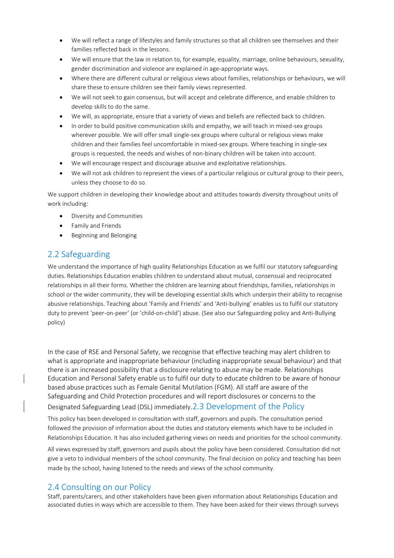- We will reflect a range of lifestyles and family structures so that all children see themselves and their families reflected back in the lessons.
- We will ensure that the law in relation to, for example, equality, marriage, online behaviours, sexuality, gender discrimination and violence are explained in age-appropriate ways.
- Where there are different cultural or religious views about families, relationships or behaviours, we will share these to ensure children see their family views represented.
- We will not seek to gain consensus, but will accept and celebrate difference, and enable children to develop skills to do the same.
- We will, as appropriate, ensure that a variety of views and beliefs are reflected back to children.
- In order to build positive communication skills and empathy, we will teach in mixed-sex groups wherever possible. We will offer small single-sex groups where cultural or religious views make children and their families feel uncomfortable in mixed-sex groups. Where teaching in single-sex groups is requested, the needs and wishes of non-binary children will be taken into account.
- We will encourage respect and discourage abusive and exploitative relationships.
- We will not ask children to represent the views of a particular religious or cultural group to their peers, unless they choose to do so.

We support children in developing their knowledge about and attitudes towards diversity throughout units of work including:

- Diversity and Communities
- **•** Family and Friends
- **•** Beginning and Belonging

#### 2.2 Safeguarding

We understand the importance of high quality Relationships Education as we fulfil our statutory safeguarding duties. Relationships Education enables children to understand about mutual, consensual and reciprocated relationships in all their forms. Whether the children are learning about friendships, families, relationships in school or the wider community, they will be developing essential skills which underpin their ability to recognise abusive relationships. Teaching about 'Family and Friends' and 'Anti-bullying' enables us to fulfil our statutory duty to prevent 'peer-on-peer' (or 'child-on-child') abuse. (See also our Safeguarding policy and Anti-Bullying policy)

In the case of RSE and Personal Safety, we recognise that effective teaching may alert children to what is appropriate and inappropriate behaviour (including inappropriate sexual behaviour) and that there is an increased possibility that a disclosure relating to abuse may be made. Relationships Education and Personal Safety enable us to fulfil our duty to educate children to be aware of honour based abuse practices such as Female Genital Mutilation (FGM). All staff are aware of the Safeguarding and Child Protection procedures and will report disclosures or concerns to the

Designated Safeguarding Lead (DSL) immediately.2.3 Development of the Policy

This policy has been developed in consultation with staff, governors and pupils. The consultation period followed the provision of information about the duties and statutory elements which have to be included in Relationships Education. It has also included gathering views on needs and priorities for the school community.

All views expressed by staff, governors and pupils about the policy have been considered. Consultation did not give a veto to individual members of the school community. The final decision on policy and teaching has been made by the school, having listened to the needs and views of the school community.

#### 2.4 Consulting on our Policy

Staff, parents/carers, and other stakeholders have been given information about Relationships Education and associated duties in ways which are accessible to them. They have been asked for their views through surveys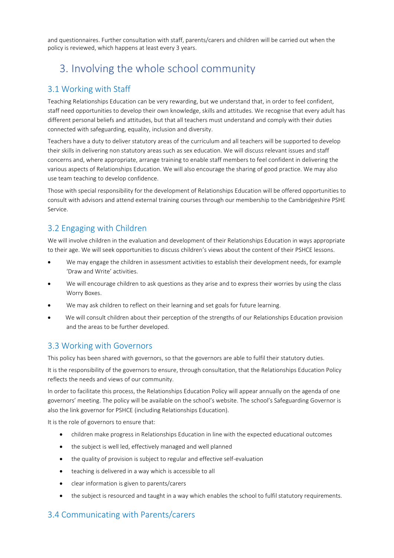and questionnaires. Further consultation with staff, parents/carers and children will be carried out when the policy is reviewed, which happens at least every 3 years.

## 3. Involving the whole school community

#### 3.1 Working with Staff

Teaching Relationships Education can be very rewarding, but we understand that, in order to feel confident, staff need opportunities to develop their own knowledge, skills and attitudes. We recognise that every adult has different personal beliefs and attitudes, but that all teachers must understand and comply with their duties connected with safeguarding, equality, inclusion and diversity.

Teachers have a duty to deliver statutory areas of the curriculum and all teachers will be supported to develop their skills in delivering non statutory areas such as sex education. We will discuss relevant issues and staff concerns and, where appropriate, arrange training to enable staff members to feel confident in delivering the various aspects of Relationships Education. We will also encourage the sharing of good practice. We may also use team teaching to develop confidence.

Those with special responsibility for the development of Relationships Education will be offered opportunities to consult with advisors and attend external training courses through our membership to the Cambridgeshire PSHE Service.

#### 3.2 Engaging with Children

We will involve children in the evaluation and development of their Relationships Education in ways appropriate to their age. We will seek opportunities to discuss children's views about the content of their PSHCE lessons.

- We may engage the children in assessment activities to establish their development needs, for example 'Draw and Write' activities.
- We will encourage children to ask questions as they arise and to express their worries by using the class Worry Boxes.
- We may ask children to reflect on their learning and set goals for future learning.
- We will consult children about their perception of the strengths of our Relationships Education provision and the areas to be further developed.

#### 3.3 Working with Governors

This policy has been shared with governors, so that the governors are able to fulfil their statutory duties.

It is the responsibility of the governors to ensure, through consultation, that the Relationships Education Policy reflects the needs and views of our community.

In order to facilitate this process, the Relationships Education Policy will appear annually on the agenda of one governors' meeting. The policy will be available on the school's website. The school's Safeguarding Governor is also the link governor for PSHCE (including Relationships Education).

It is the role of governors to ensure that:

- children make progress in Relationships Education in line with the expected educational outcomes
- the subject is well led, effectively managed and well planned
- the quality of provision is subject to regular and effective self-evaluation
- teaching is delivered in a way which is accessible to all
- clear information is given to parents/carers
- the subject is resourced and taught in a way which enables the school to fulfil statutory requirements.

#### 3.4 Communicating with Parents/carers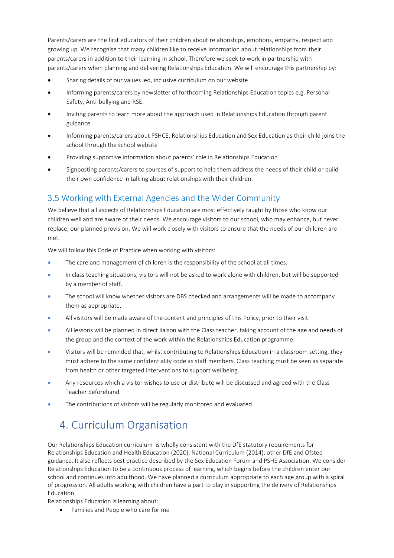Parents/carers are the first educators of their children about relationships, emotions, empathy, respect and growing up. We recognise that many children like to receive information about relationships from their parents/carers in addition to their learning in school. Therefore we seek to work in partnership with parents/carers when planning and delivering Relationships Education. We will encourage this partnership by:

- Sharing details of our values led, inclusive curriculum on our website
- Informing parents/carers by newsletter of forthcoming Relationships Education topics e.g. Personal Safety, Anti-bullying and RSE.
- Inviting parents to learn more about the approach used in Relationships Education through parent guidance
- Informing parents/carers about PSHCE, Relationships Education and Sex Education as their child joins the school through the school website
- Providing supportive information about parents' role in Relationships Education
- Signposting parents/carers to sources of support to help them address the needs of their child or build their own confidence in talking about relationships with their children.

#### 3.5 Working with External Agencies and the Wider Community

We believe that all aspects of Relationships Education are most effectively taught by those who know our children well and are aware of their needs. We encourage visitors to our school, who may enhance, but never replace, our planned provision. We will work closely with visitors to ensure that the needs of our children are met.

We will follow this Code of Practice when working with visitors:

- The care and management of children is the responsibility of the school at all times.
- In class teaching situations, visitors will not be asked to work alone with children, but will be supported by a member of staff.
- The school will know whether visitors are DBS checked and arrangements will be made to accompany them as appropriate.
- All visitors will be made aware of the content and principles of this Policy, prior to their visit.
- All lessons will be planned in direct liaison with the Class teacher, taking account of the age and needs of the group and the context of the work within the Relationships Education programme.
- Visitors will be reminded that, whilst contributing to Relationships Education in a classroom setting, they must adhere to the same confidentiality code as staff members. Class teaching must be seen as separate from health or other targeted interventions to support wellbeing.
- Any resources which a visitor wishes to use or distribute will be discussed and agreed with the Class Teacher beforehand.
- The contributions of visitors will be regularly monitored and evaluated.

# 4. Curriculum Organisation

Our Relationships Education curriculum is wholly consistent with the DfE statutory requirements for Relationships Education and Health Education (2020), National Curriculum (2014), other DfE and Ofsted guidance. It also reflects best practice described by the Sex Education Forum and PSHE Association. We consider Relationships Education to be a continuous process of learning, which begins before the children enter our school and continues into adulthood. We have planned a curriculum appropriate to each age group with a spiral of progression. All adults working with children have a part to play in supporting the delivery of Relationships Education.

Relationships Education is learning about:

Families and People who care for me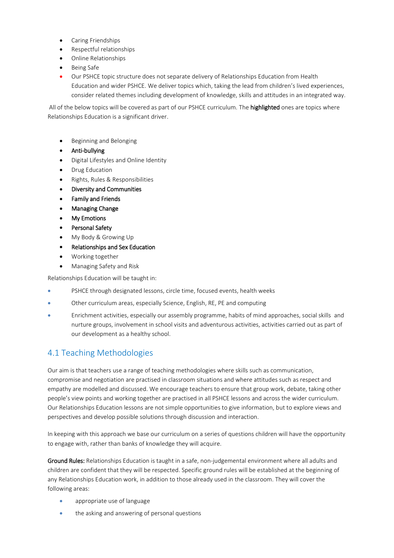- Caring Friendships
- Respectful relationships
- Online Relationships
- Being Safe
- Our PSHCE topic structure does not separate delivery of Relationships Education from Health Education and wider PSHCE. We deliver topics which, taking the lead from children's lived experiences, consider related themes including development of knowledge, skills and attitudes in an integrated way.

All of the below topics will be covered as part of our PSHCE curriculum. The highlighted ones are topics where Relationships Education is a significant driver.

- **•** Beginning and Belonging
- Anti-bullying
- Digital Lifestyles and Online Identity
- Drug Education
- Rights, Rules & Responsibilities
- Diversity and Communities
- Family and Friends
- Managing Change
- My Emotions
- Personal Safety
- My Body & Growing Up
- Relationships and Sex Education
- Working together
- Managing Safety and Risk

Relationships Education will be taught in:

- PSHCE through designated lessons, circle time, focused events, health weeks
- Other curriculum areas, especially Science, English, RE, PE and computing
- Enrichment activities, especially our assembly programme, habits of mind approaches, social skills and nurture groups, involvement in school visits and adventurous activities, activities carried out as part of our development as a healthy school.

## 4.1 Teaching Methodologies

Our aim is that teachers use a range of teaching methodologies where skills such as communication, compromise and negotiation are practised in classroom situations and where attitudes such as respect and empathy are modelled and discussed. We encourage teachers to ensure that group work, debate, taking other people's view points and working together are practised in all PSHCE lessons and across the wider curriculum. Our Relationships Education lessons are not simple opportunities to give information, but to explore views and perspectives and develop possible solutions through discussion and interaction.

In keeping with this approach we base our curriculum on a series of questions children will have the opportunity to engage with, rather than banks of knowledge they will acquire.

Ground Rules: Relationships Education is taught in a safe, non-judgemental environment where all adults and children are confident that they will be respected. Specific ground rules will be established at the beginning of any Relationships Education work, in addition to those already used in the classroom. They will cover the following areas:

- appropriate use of language
- the asking and answering of personal questions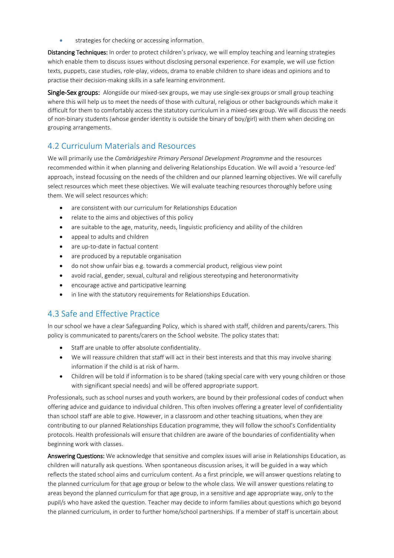strategies for checking or accessing information.

Distancing Techniques: In order to protect children's privacy, we will employ teaching and learning strategies which enable them to discuss issues without disclosing personal experience. For example, we will use fiction texts, puppets, case studies, role-play, videos, drama to enable children to share ideas and opinions and to practise their decision-making skills in a safe learning environment.

Single-Sex groups: Alongside our mixed-sex groups, we may use single-sex groups or small group teaching where this will help us to meet the needs of those with cultural, religious or other backgrounds which make it difficult for them to comfortably access the statutory curriculum in a mixed-sex group. We will discuss the needs of non-binary students (whose gender identity is outside the binary of boy/girl) with them when deciding on grouping arrangements.

#### 4.2 Curriculum Materials and Resources

We will primarily use the *Cambridgeshire Primary Personal Development Programme* and the resources recommended within it when planning and delivering Relationships Education. We will avoid a 'resource-led' approach, instead focussing on the needs of the children and our planned learning objectives. We will carefully select resources which meet these objectives. We will evaluate teaching resources thoroughly before using them. We will select resources which:

- are consistent with our curriculum for Relationships Education
- relate to the aims and objectives of this policy
- are suitable to the age, maturity, needs, linguistic proficiency and ability of the children
- appeal to adults and children
- are up-to-date in factual content
- are produced by a reputable organisation
- do not show unfair bias e.g. towards a commercial product, religious view point
- avoid racial, gender, sexual, cultural and religious stereotyping and heteronormativity
- encourage active and participative learning
- in line with the statutory requirements for Relationships Education.

#### 4.3 Safe and Effective Practice

In our school we have a clear Safeguarding Policy, which is shared with staff, children and parents/carers. This policy is communicated to parents/carers on the School website. The policy states that:

- Staff are unable to offer absolute confidentiality.
- We will reassure children that staff will act in their best interests and that this may involve sharing information if the child is at risk of harm.
- Children will be told if information is to be shared (taking special care with very young children or those with significant special needs) and will be offered appropriate support.

Professionals, such as school nurses and youth workers, are bound by their professional codes of conduct when offering advice and guidance to individual children. This often involves offering a greater level of confidentiality than school staff are able to give. However, in a classroom and other teaching situations, when they are contributing to our planned Relationships Education programme, they will follow the school's Confidentiality protocols. Health professionals will ensure that children are aware of the boundaries of confidentiality when beginning work with classes.

Answering Questions: We acknowledge that sensitive and complex issues will arise in Relationships Education, as children will naturally ask questions. When spontaneous discussion arises, it will be guided in a way which reflects the stated school aims and curriculum content. As a first principle, we will answer questions relating to the planned curriculum for that age group or below to the whole class. We will answer questions relating to areas beyond the planned curriculum for that age group, in a sensitive and age appropriate way, only to the pupil/s who have asked the question. Teacher may decide to inform families about questions which go beyond the planned curriculum, in order to further home/school partnerships. If a member of staff is uncertain about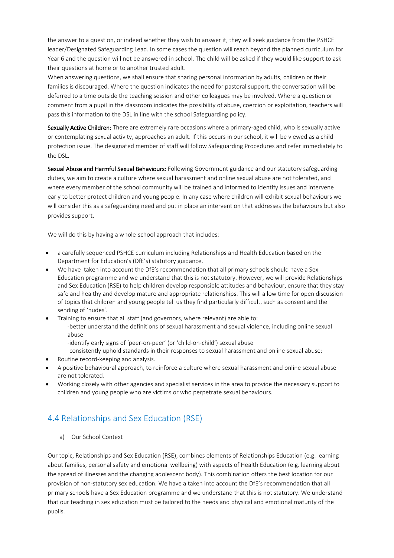the answer to a question, or indeed whether they wish to answer it, they will seek guidance from the PSHCE leader/Designated Safeguarding Lead. In some cases the question will reach beyond the planned curriculum for Year 6 and the question will not be answered in school. The child will be asked if they would like support to ask their questions at home or to another trusted adult.

When answering questions, we shall ensure that sharing personal information by adults, children or their families is discouraged. Where the question indicates the need for pastoral support, the conversation will be deferred to a time outside the teaching session and other colleagues may be involved. Where a question or comment from a pupil in the classroom indicates the possibility of abuse, coercion or exploitation, teachers will pass this information to the DSL in line with the school Safeguarding policy.

Sexually Active Children: There are extremely rare occasions where a primary-aged child, who is sexually active or contemplating sexual activity, approaches an adult. If this occurs in our school, it will be viewed as a child protection issue. The designated member of staff will follow Safeguarding Procedures and refer immediately to the DSL.

Sexual Abuse and Harmful Sexual Behaviours: Following Government guidance and our statutory safeguarding duties, we aim to create a culture where sexual harassment and online sexual abuse are not tolerated, and where every member of the school community will be trained and informed to identify issues and intervene early to better protect children and young people. In any case where children will exhibit sexual behaviours we will consider this as a safeguarding need and put in place an intervention that addresses the behaviours but also provides support.

We will do this by having a whole-school approach that includes:

- a carefully sequenced PSHCE curriculum including Relationships and Health Education based on the Department for Education's (DfE's) statutory guidance.
- We have taken into account the DfE's recommendation that all primary schools should have a Sex Education programme and we understand that this is not statutory. However, we will provide Relationships and Sex Education (RSE) to help children develop responsible attitudes and behaviour, ensure that they stay safe and healthy and develop mature and appropriate relationships. This will allow time for open discussion of topics that children and young people tell us they find particularly difficult, such as consent and the sending of 'nudes'.
- Training to ensure that all staff (and governors, where relevant) are able to: -better understand the definitions of sexual harassment and sexual violence, including online sexual abuse
	- -identify early signs of 'peer-on-peer' (or 'child-on-child') sexual abuse
	- -consistently uphold standards in their responses to sexual harassment and online sexual abuse;
- Routine record-keeping and analysis.
- A positive behavioural approach, to reinforce a culture where sexual harassment and online sexual abuse are not tolerated.
- Working closely with other agencies and specialist services in the area to provide the necessary support to children and young people who are victims or who perpetrate sexual behaviours.

#### 4.4 Relationships and Sex Education (RSE)

a) Our School Context

Our topic, Relationships and Sex Education (RSE), combines elements of Relationships Education (e.g. learning about families, personal safety and emotional wellbeing) with aspects of Health Education (e.g. learning about the spread of illnesses and the changing adolescent body). This combination offers the best location for our provision of non-statutory sex education. We have a taken into account the DfE's recommendation that all primary schools have a Sex Education programme and we understand that this is not statutory. We understand that our teaching in sex education must be tailored to the needs and physical and emotional maturity of the pupils.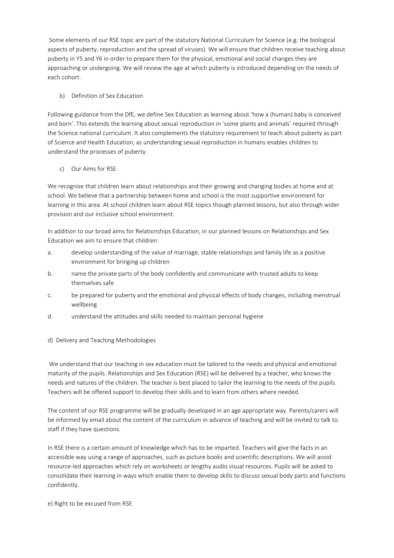Some elements of our RSE topic are part of the statutory National Curriculum for Science (e.g. the biological aspects of puberty, reproduction and the spread of viruses). We will ensure that children receive teaching about puberty in Y5 and Y6 in order to prepare them for the physical, emotional and social changes they are approaching or undergoing. We will review the age at which puberty is introduced depending on the needs of each cohort.

#### b) Definition of Sex Education

Following guidance from the DfE, we define Sex Education as learning about 'how a (human) baby is conceived and born'. This extends the learning about sexual reproduction in 'some plants and animals' required through the Science national curriculum. It also complements the statutory requirement to teach about puberty as part of Science and Health Education, as understanding sexual reproduction in humans enables children to understand the processes of puberty.

c) Our Aims for RSE

We recognise that children learn about relationships and their growing and changing bodies at home and at school. We believe that a partnership between home and school is the most supportive environment for learning in this area. At school children learn about RSE topics though planned lessons, but also through wider provision and our inclusive school environment.

In addition to our broad aims for Relationships Education, in our planned lessons on Relationships and Sex Education we aim to ensure that children:

- a. develop understanding of the value of marriage, stable relationships and family life as a positive environment for bringing up children
- b. name the private parts of the body confidently and communicate with trusted adults to keep themselves safe
- c. be prepared for puberty and the emotional and physical effects of body changes, including menstrual wellbeing
- d. understand the attitudes and skills needed to maintain personal hygiene
- d) Delivery and Teaching Methodologies

We understand that our teaching in sex education must be tailored to the needs and physical and emotional maturity of the pupils. Relationships and Sex Education (RSE) will be delivered by a teacher, who knows the needs and natures of the children. The teacher is best placed to tailor the learning to the needs of the pupils. Teachers will be offered support to develop their skills and to learn from others where needed.

The content of our RSE programme will be gradually developed in an age appropriate way. Parents/carers will be informed by email about the content of the curriculum in advance of teaching and will be invited to talk to staff if they have questions.

In RSE there is a certain amount of knowledge which has to be imparted. Teachers will give the facts in an accessible way using a range of approaches, such as picture books and scientific descriptions. We will avoid resource-led approaches which rely on worksheets or lengthy audio visual resources. Pupils will be asked to consolidate their learning in ways which enable them to develop skills to discuss sexual body parts and functions confidently.

e) Right to be excused from RSE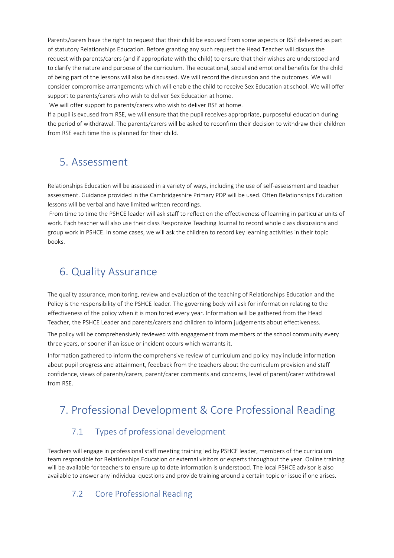Parents/carers have the right to request that their child be excused from some aspects or RSE delivered as part of statutory Relationships Education. Before granting any such request the Head Teacher will discuss the request with parents/carers (and if appropriate with the child) to ensure that their wishes are understood and to clarify the nature and purpose of the curriculum. The educational, social and emotional benefits for the child of being part of the lessons will also be discussed. We will record the discussion and the outcomes. We will consider compromise arrangements which will enable the child to receive Sex Education at school. We will offer support to parents/carers who wish to deliver Sex Education at home.

We will offer support to parents/carers who wish to deliver RSE at home.

If a pupil is excused from RSE, we will ensure that the pupil receives appropriate, purposeful education during the period of withdrawal. The parents/carers will be asked to reconfirm their decision to withdraw their children from RSE each time this is planned for their child.

## 5. Assessment

Relationships Education will be assessed in a variety of ways, including the use of self-assessment and teacher assessment. Guidance provided in the Cambridgeshire Primary PDP will be used. Often Relationships Education lessons will be verbal and have limited written recordings.

From time to time the PSHCE leader will ask staff to reflect on the effectiveness of learning in particular units of work. Each teacher will also use their class Responsive Teaching Journal to record whole class discussions and group work in PSHCE. In some cases, we will ask the children to record key learning activities in their topic books.

## 6. Quality Assurance

The quality assurance, monitoring, review and evaluation of the teaching of Relationships Education and the Policy is the responsibility of the PSHCE leader. The governing body will ask for information relating to the effectiveness of the policy when it is monitored every year. Information will be gathered from the Head Teacher, the PSHCE Leader and parents/carers and children to inform judgements about effectiveness.

The policy will be comprehensively reviewed with engagement from members of the school community every three years, or sooner if an issue or incident occurs which warrants it.

Information gathered to inform the comprehensive review of curriculum and policy may include information about pupil progress and attainment, feedback from the teachers about the curriculum provision and staff confidence, views of parents/carers, parent/carer comments and concerns, level of parent/carer withdrawal from RSE.

# 7. Professional Development & Core Professional Reading

## 7.1 Types of professional development

Teachers will engage in professional staff meeting training led by PSHCE leader, members of the curriculum team responsible for Relationships Education or external visitors or experts throughout the year. Online training will be available for teachers to ensure up to date information is understood. The local PSHCE advisor is also available to answer any individual questions and provide training around a certain topic or issue if one arises.

## 7.2 Core Professional Reading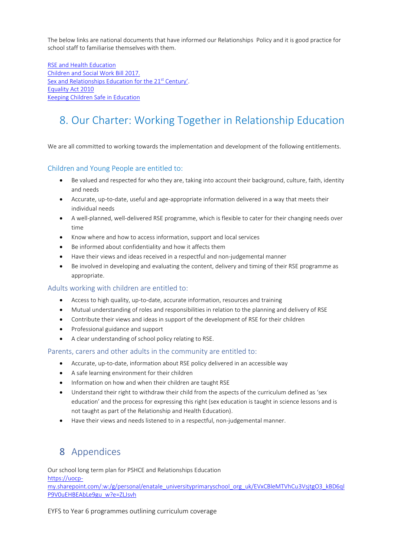The below links are national documents that have informed our Relationships Policy and it is good practice for school staff to familiarise themselves with them.

[RSE and Health Education](https://assets.publishing.service.gov.uk/government/uploads/system/uploads/attachment_data/file/805781/Relationships_Education__Relationships_and_Sex_Education__RSE__and_Health_Education.pdf) [Children and Social Work Bill 2017.](http://www.legislation.gov.uk/ukpga/2017/16/section/34/enacted) [Sex and Relationships Education for the 21](http://www.sexeducationforum.org.uk/media/17706/sreadvice.pdf)<sup>st</sup> Century'. [Equality Act 2010](http://www.legislation.gov.uk/ukpga/2010/15/contents) [Keeping Children Safe in Education](https://assets.publishing.service.gov.uk/government/uploads/system/uploads/attachment_data/file/835733/Keeping_children_safe_in_education_2019.pdf)

# 8. Our Charter: Working Together in Relationship Education

We are all committed to working towards the implementation and development of the following entitlements.

#### Children and Young People are entitled to:

- Be valued and respected for who they are, taking into account their background, culture, faith, identity and needs
- Accurate, up-to-date, useful and age-appropriate information delivered in a way that meets their individual needs
- A well-planned, well-delivered RSE programme, which is flexible to cater for their changing needs over time
- Know where and how to access information, support and local services
- Be informed about confidentiality and how it affects them
- Have their views and ideas received in a respectful and non-judgemental manner
- Be involved in developing and evaluating the content, delivery and timing of their RSE programme as appropriate.

#### Adults working with children are entitled to:

- Access to high quality, up-to-date, accurate information, resources and training
- Mutual understanding of roles and responsibilities in relation to the planning and delivery of RSE
- Contribute their views and ideas in support of the development of RSE for their children
- Professional guidance and support
- A clear understanding of school policy relating to RSE.

#### Parents, carers and other adults in the community are entitled to:

- Accurate, up-to-date, information about RSE policy delivered in an accessible way
- A safe learning environment for their children
- Information on how and when their children are taught RSE
- Understand their right to withdraw their child from the aspects of the curriculum defined as 'sex education' and the process for expressing this right (sex education is taught in science lessons and is not taught as part of the Relationship and Health Education).
- Have their views and needs listened to in a respectful, non-judgemental manner.

## 8 Appendices

Our school long term plan for PSHCE and Relationships Education [https://uocp](https://uocp-my.sharepoint.com/:w:/g/personal/enatale_universityprimaryschool_org_uk/EVxCBleMTVhCu3VsjtgO3_kBD6qlP9V0uEHBEAbLe9gu_w?e=ZLJsvh)[my.sharepoint.com/:w:/g/personal/enatale\\_universityprimaryschool\\_org\\_uk/EVxCBleMTVhCu3VsjtgO3\\_kBD6ql](https://uocp-my.sharepoint.com/:w:/g/personal/enatale_universityprimaryschool_org_uk/EVxCBleMTVhCu3VsjtgO3_kBD6qlP9V0uEHBEAbLe9gu_w?e=ZLJsvh) [P9V0uEHBEAbLe9gu\\_w?e=ZLJsvh](https://uocp-my.sharepoint.com/:w:/g/personal/enatale_universityprimaryschool_org_uk/EVxCBleMTVhCu3VsjtgO3_kBD6qlP9V0uEHBEAbLe9gu_w?e=ZLJsvh)

EYFS to Year 6 programmes outlining curriculum coverage